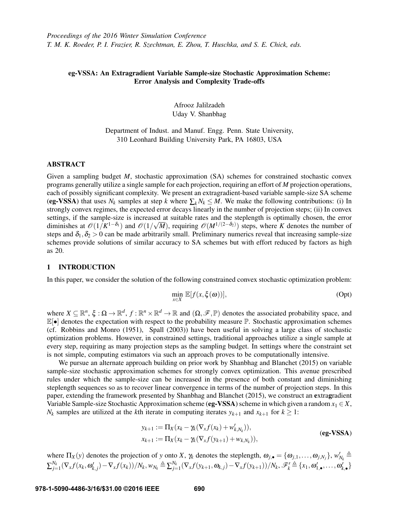# eg-VSSA: An Extragradient Variable Sample-size Stochastic Approximation Scheme: Error Analysis and Complexity Trade-offs

Afrooz Jalilzadeh Uday V. Shanbhag

Department of Indust. and Manuf. Engg. Penn. State University, 310 Leonhard Building University Park, PA 16803, USA

## ABSTRACT

Given a sampling budget *M*, stochastic approximation (SA) schemes for constrained stochastic convex programs generally utilize a single sample for each projection, requiring an effort of *M* projection operations, each of possibly significant complexity. We present an extragradient-based variable sample-size SA scheme (eg-VSSA) that uses  $N_k$  samples at step *k* where  $\sum_k N_k \leq M$ . We make the following contributions: (i) In strongly convex regimes, the expected error decays linearly in the number of projection steps; (ii) In convex settings, if the sample-size is increased at suitable rates and the steplength is optimally chosen, the error diminishes at  $\mathcal{O}(1/K^{1-\delta_1})$  and  $\mathcal{O}(1/\sqrt{M})$ , requiring  $\mathcal{O}(M^{1/(2-\delta_2)})$  steps, where *K* denotes the number of steps and  $\delta_1, \delta_2 > 0$  can be made arbitrarily small. Preliminary numerics reveal that increasing sample-size schemes provide solutions of similar accuracy to SA schemes but with effort reduced by factors as high as 20.

## 1 INTRODUCTION

In this paper, we consider the solution of the following constrained convex stochastic optimization problem:

$$
\min_{x \in X} \mathbb{E}[f(x, \xi(\omega))],\tag{Opt}
$$

where  $X \subseteq \mathbb{R}^n$ ,  $\xi : \Omega \to \mathbb{R}^d$ ,  $f : \mathbb{R}^n \times \mathbb{R}^d \to \mathbb{R}$  and  $(\Omega, \mathscr{F}, \mathbb{P})$  denotes the associated probability space, and  $\mathbb{E}[\bullet]$  denotes the expectation with respect to the probability measure  $\mathbb{P}$ . Stochastic approximation schemes (cf. Robbins and Monro (1951), Spall (2003)) have been useful in solving a large class of stochastic optimization problems. However, in constrained settings, traditional approaches utilize a single sample at every step, requiring as many projection steps as the sampling budget. In settings where the constraint set is not simple, computing estimators via such an approach proves to be computationally intensive.

We pursue an alternate approach building on prior work by Shanbhag and Blanchet (2015) on variable sample-size stochastic approximation schemes for strongly convex optimization. This avenue prescribed rules under which the sample-size can be increased in the presence of both constant and diminishing steplength sequences so as to recover linear convergence in terms of the number of projection steps. In this paper, extending the framework presented by Shanbhag and Blanchet (2015), we construct an extragradient Variable Sample-size Stochastic Approximation scheme (eg-VSSA) scheme in which given a random  $x_1 \in X$ , *N<sub>k</sub>* samples are utilized at the *k*th iterate in computing iterates  $y_{k+1}$  and  $x_{k+1}$  for  $k \geq 1$ :

$$
y_{k+1} := \Pi_X(x_k - \gamma_k(\nabla_x f(x_k) + w'_{k,N_k})),
$$
  
\n
$$
x_{k+1} := \Pi_X(x_k - \gamma_k(\nabla_x f(y_{k+1}) + w_{k,N_k})),
$$
\n(**eg-VSSA**)

where  $\Pi_X(y)$  denotes the projection of *y* onto *X*,  $\gamma_k$  denotes the steplength,  $\omega_{j,\bullet} = {\omega_{j,1}, \dots, \omega_{j,N_j}}$ ,  $w'_{N_k} \triangleq$  $\sum_{j=1}^{N_k} (\nabla_x f(x_k, \omega'_{k,j}) - \nabla_x f(x_k))/N_k, w_{N_k} \triangleq \sum_{j=1}^{N_k} (\nabla_x f(y_{k+1}, \omega_{k,j}) - \nabla_x f(y_{k+1}))/N_k, \mathscr{F}'_k \triangleq \{x_1, \omega'_{1,\bullet}, \ldots, \omega'_{k,\bullet}\}\$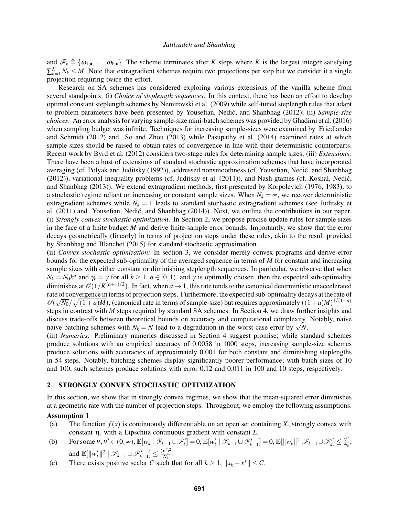and  $\mathscr{F}_k \triangleq {\omega_{1,\bullet}, \ldots, \omega_{k,\bullet}}$ . The scheme terminates after *K* steps where *K* is the largest integer satisfying  $\sum_{k=1}^{K} N_k \leq M$ . Note that extragradient schemes require two projections per step but we consider it a single projection requiring twice the effort.

Research on SA schemes has considered exploring various extensions of the vanilla scheme from several standpoints: (i) *Choice of steplength sequences:* In this context, there has been an effort to develop optimal constant steplength schemes by Nemirovski et al. (2009) while self-tuned steplength rules that adapt to problem parameters have been presented by Yousefian, Nedić, and Shanbhag (2012); (ii) *Sample-size choices:* An error analysis for varying sample-size mini-batch schemes was provided by Ghadimi et al. (2016) when sampling budget was infinite. Techniques for increasing sample-sizes were examined by Friedlander and Schmidt (2012) and So and Zhou (2013) while Pasupathy et al. (2014) examined rates at which sample sizes should be raised to obtain rates of convergence in line with their deterministic counterparts. Recent work by Byrd et al. (2012) considers two-stage rules for determining sample sizes; (iii) *Extensions:* There have been a host of extensions of standard stochastic approximation schemes that have incorporated averaging (cf. Polyak and Juditsky (1992)), addressed nonsmoothness (cf. Yousefian, Nedic, and Shanbhag ´ (2012)), variational inequality problems (cf. Juditsky et al. (2011)), and Nash gtames (cf. Koshal, Nedic,´ and Shanbhag (2013)). We extend extragradient methods, first presented by Korpolevich (1976, 1983), to a stochastic regime reliant on increasing or constant sample sizes. When  $N_k = \infty$ , we recover deterministic extragradient schemes while  $N_k = 1$  leads to standard stochastic extragradient schemes (see Juditsky et al. (2011) and Yousefian, Nedić, and Shanbhag (2014)). Next, we outline the contributions in our paper. (i) *Strongly convex stochastic optimization:* In Section 2, we propose precise update rules for sample sizes in the face of a finite budget *M* and derive finite-sample error bounds. Importantly, we show that the error decays geometrically (linearly) in terms of projection steps under these rules, akin to the result provided by Shanbhag and Blanchet (2015) for standard stochastic approximation.

(ii) *Convex stochastic optimization:* In section 3, we consider merely convex programs and derive error bounds for the expected sub-optimality of the averaged sequence in terms of *M* for constant and increasing sample sizes with either constant or diminishing steplength sequences. In particular, we observe that when  $N_k = N_0 k^a$  and  $\gamma_k = \gamma$  for all  $k \ge 1$ ,  $a \in [0, 1)$ , and  $\gamma$  is optimally chosen, then the expected sub-optimality diminishes at  $\mathcal{O}(1/K^{(a+1)/2})$ . In fact, when  $a \to 1$ , this rate tends to the canonical deterministic unaccelerated rate of convergence in terms of projection steps. Furthermore, the expected sub-optimality decays at the rate of  $\mathcal{O}(\sqrt{N_0}/\sqrt{(1+a)M})$ , (canonical rate in terms of sample-size) but requires approximately  $((1+a)M)^{1/(1+a)}$ steps in contrast with *M* steps required by standard SA schemes. In Section 4, we draw further insights and discuss trade-offs between theoretical bounds on accuracy and computational complexity. Notably, naive discuss trade-orts between theoretical bounds on accuracy and computational complexity.<br>naive batching schemes with  $N_k = N$  lead to a degradation in the worst-case error by  $\sqrt{N}$ .

(iii) *Numerics:* Preliminary numerics discussed in Section 4 suggest promise; while standard schemes produce solutions with an empirical accuracy of 0.0058 in 1000 steps, increasing sample-size schemes produce solutions with accuracies of approximately 0.001 for both constant and diminishing steplengths in 54 steps. Notably, batching schemes display significantly poorer performance; with batch sizes of 10 and 100, such schemes produce solutions with error 0.12 and 0.011 in 100 and 10 steps, respectively.

### 2 STRONGLY CONVEX STOCHASTIC OPTIMIZATION

In this section, we show that in strongly convex regimes, we show that the mean-squared error diminishes at a geometric rate with the number of projection steps. Throughout, we employ the following assumptions.

## Assumption 1

- (a) The function  $f(x)$  is continuously differentiable on an open set containing *X*, strongly convex with constant  $\eta$ , with a Lipschitz continuous gradient with constant *L*.
- (b) For some  $v, v' \in (0, \infty)$ ,  $\mathbb{E}[w_k | \mathscr{F}_{k-1} \cup \mathscr{F}'_k] = 0$ ,  $\mathbb{E}[w'_k | \mathscr{F}_{k-1} \cup \mathscr{F}'_{k-1}] = 0$ ,  $\mathbb{E}[\|w_k\|^2 | \mathscr{F}_{k-1} \cup \mathscr{F}'_k] \leq \frac{v^2}{N_k}$  $\frac{V^2}{N_k}$ and  $\mathbb{E}[\Vert w_k' \Vert^2 \mid \mathscr{F}_{k-1} \cup \mathscr{F}_{k-1}' \leq \frac{(v')^2}{N_k}$  $\frac{V}{N_k}$ .
- (c) There exists positive scalar *C* such that for all  $k \ge 1$ ,  $||x_k x^*|| \le C$ .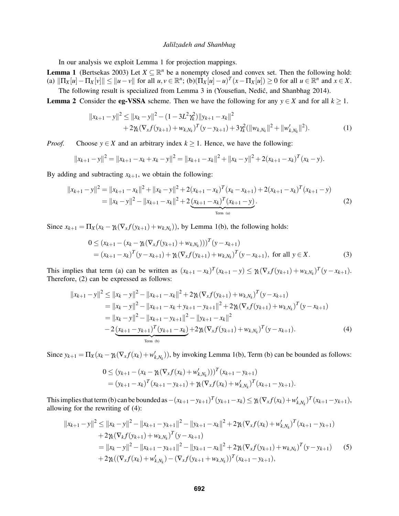In our analysis we exploit Lemma 1 for projection mappings.

**Lemma 1** (Bertsekas 2003) Let  $X \subseteq \mathbb{R}^n$  be a nonempty closed and convex set. Then the following hold: (a)  $\|\Pi_X[u] - \Pi_X[v]\| \leq \|u - v\|$  for all  $u, v \in \mathbb{R}^n$ ; (b) $(\Pi_X[u] - u)^T(x - \Pi_X[u]) \geq 0$  for all  $u \in \mathbb{R}^n$  and  $x \in X$ .

The following result is specialized from Lemma 3 in (Yousefian, Nedić, and Shanbhag 2014). **Lemma 2** Consider the **eg-VSSA** scheme. Then we have the following for any  $y \in X$  and for all  $k \ge 1$ .

<sup>2</sup> ≤ k*x<sup>k</sup>* −*y*k  $\overline{112}$ 

$$
||x_{k+1} - y||^2 \le ||x_k - y||^2 - (1 - 3L^2 \gamma_k^2) ||y_{k+1} - x_k||^2 + 2\gamma_k (\nabla_x f(y_{k+1}) + w_{k,N_k})^T (y - y_{k+1}) + 3\gamma_k^2 (||w_{k,N_k}||^2 + ||w'_{k,N_k}||^2).
$$
 (1)

*Proof.* Choose  $y \in X$  and an arbitrary index  $k \ge 1$ . Hence, we have the following:

$$
||x_{k+1}-y||^2 = ||x_{k+1}-x_k+x_k-y||^2 = ||x_{k+1}-x_k||^2 + ||x_k-y||^2 + 2(x_{k+1}-x_k)^T(x_k-y).
$$

By adding and subtracting  $x_{k+1}$ , we obtain the following:

$$
||x_{k+1} - y||^2 = ||x_{k+1} - x_k||^2 + ||x_k - y||^2 + 2(x_{k+1} - x_k)^T (x_k - x_{k+1}) + 2(x_{k+1} - x_k)^T (x_{k+1} - y)
$$
  
=  $||x_k - y||^2 - ||x_{k+1} - x_k||^2 + 2\underbrace{(x_{k+1} - x_k)^T (x_{k+1} - y)}_{\text{Term (a)}}.$  (2)

Since  $x_{k+1} = \prod_X (x_k - \gamma_k(\nabla_x f(y_{k+1}) + w_{k,N_k}))$ , by Lemma 1(b), the following holds:

$$
0 \le (x_{k+1} - (x_k - \gamma_k(\nabla_x f(y_{k+1}) + w_{k,N_k})))^T (y - x_{k+1})
$$
  
=  $(x_{k+1} - x_k)^T (y - x_{k+1}) + \gamma_k (\nabla_x f(y_{k+1}) + w_{k,N_k})^T (y - x_{k+1}),$  for all  $y \in X$ . (3)

This implies that term (a) can be written as  $(x_{k+1} - x_k)^T (x_{k+1} - y) \leq \gamma_k (\nabla_x f(y_{k+1}) + w_{k,N_k})^T (y - x_{k+1}).$ Therefore, (2) can be expressed as follows:

$$
||x_{k+1} - y||^2 \le ||x_k - y||^2 - ||x_{k+1} - x_k||^2 + 2\gamma_k(\nabla_x f(y_{k+1}) + w_{k,N_k})^T (y - x_{k+1})
$$
  
\n
$$
= ||x_k - y||^2 - ||x_{k+1} - x_k + y_{k+1} - y_{k+1}||^2 + 2\gamma_k(\nabla_x f(y_{k+1}) + w_{k,N_k})^T (y - x_{k+1})
$$
  
\n
$$
= ||x_k - y||^2 - ||x_{k+1} - y_{k+1}||^2 - ||y_{k+1} - x_k||^2
$$
  
\n
$$
- 2\underbrace{(x_{k+1} - y_{k+1})^T (y_{k+1} - x_k)}_{\text{Term (b)}} + 2\gamma_k(\nabla_x f(y_{k+1}) + w_{k,N_k})^T (y - x_{k+1}).
$$
\n(4)

Since  $y_{k+1} = \prod_X (x_k - \gamma_k(\nabla_x f(x_k) + w'_{k,N_k}))$ , by invoking Lemma 1(b), Term (b) can be bounded as follows:

$$
0 \le (y_{k+1} - (x_k - \gamma_k(\nabla_x f(x_k) + w'_{k,N_k})))^T (x_{k+1} - y_{k+1})
$$
  
=  $(y_{k+1} - x_k)^T (x_{k+1} - y_{k+1}) + \gamma_k (\nabla_x f(x_k) + w'_{k,N_k})^T (x_{k+1} - y_{k+1}).$ 

This implies that term (b) can be bounded as  $-(x_{k+1}-y_{k+1})^T(y_{k+1}-x_k) \leq \gamma_k (\nabla_x f(x_k) + w'_{k,N_k})^T (x_{k+1}-y_{k+1}),$ allowing for the rewriting of (4):

$$
||x_{k+1} - y||^2 \le ||x_k - y||^2 - ||x_{k+1} - y_{k+1}||^2 - ||y_{k+1} - x_k||^2 + 2\gamma_k(\nabla_x f(x_k) + w'_{k,N_k})^T (x_{k+1} - y_{k+1})
$$
  
+ 2\gamma\_k(\nabla\_k f(y\_{k+1}) + w\_{k,N\_k})^T (y - x\_{k+1})  
= ||x\_k - y||^2 - ||x\_{k+1} - y\_{k+1}||^2 - ||y\_{k+1} - x\_k||^2 + 2\gamma\_k(\nabla\_x f(y\_{k+1}) + w\_{k,N\_k})^T (y - y\_{k+1}) (5)  
+ 2\gamma\_k((\nabla\_x f(x\_k) + w'\_{k,N\_k}) - (\nabla\_x f(y\_{k+1} + w\_{k,N\_k}))^T (x\_{k+1} - y\_{k+1}),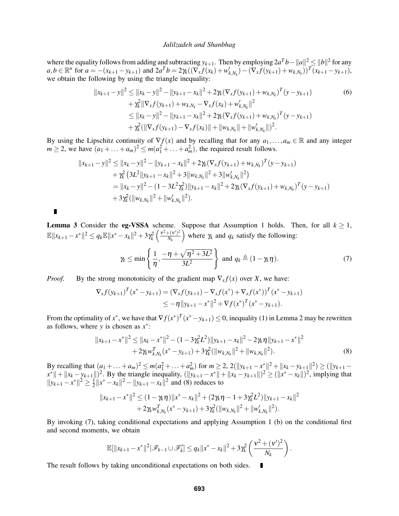where the equality follows from adding and subtracting  $y_{k+1}$ . Then by employing  $2a^Tb - \|a\|^2 \leq \|b\|^2$  for any  $a, b \in \mathbb{R}^n$  for  $a = -(x_{k+1} - y_{k+1})$  and  $2a^T b = 2\pi ((\nabla_x f(x_k) + w'_{k,N_k}) - (\nabla_x f(y_{k+1}) + w_{k,N_k}))^T (x_{k+1} - y_{k+1}),$ we obtain the following by using the triangle inequality:

$$
||x_{k+1} - y||^2 \le ||x_k - y||^2 - ||y_{k+1} - x_k||^2 + 2\gamma_k(\nabla_x f(y_{k+1}) + w_{k,N_k})^T(y - y_{k+1})
$$
  
+  $\gamma_k^2 ||\nabla_x f(y_{k+1}) + w_{k,N_k} - \nabla_x f(x_k) + w'_{k,N_k}||^2$   

$$
\le ||x_k - y||^2 - ||y_{k+1} - x_k||^2 + 2\gamma_k(\nabla_x f(y_{k+1}) + w_{k,N_k})^T(y - y_{k+1})
$$
  
+  $\gamma_k^2 (||\nabla_x f(y_{k+1}) - \nabla_x f(x_k)|| + ||w_{k,N_k}|| + ||w'_{k,N_k}||)^2.$  (6)

By using the Lipschitz continuity of  $\nabla f(x)$  and by recalling that for any  $a_1, \ldots, a_m \in \mathbb{R}$  and any integer  $m \ge 2$ , we have  $(a_1 + \ldots + a_m)^2 \le m(a_1^2 + \ldots + a_m^2)$ , the required result follows.

$$
||x_{k+1} - y||^2 \le ||x_k - y||^2 - ||y_{k+1} - x_k||^2 + 2\gamma_k(\nabla_x f(y_{k+1}) + w_{k,N_k})^T(y - y_{k+1})
$$
  
+  $\gamma_k^2 (3L^2 ||y_{k+1} - x_k||^2 + 3||w_{k,N_k}||^2 + 3||w'_{k,N_k}||^2)$   
=  $||x_k - y||^2 - (1 - 3L^2\gamma_k^2)||y_{k+1} - x_k||^2 + 2\gamma_k(\nabla_x f(y_{k+1}) + w_{k,N_k})^T(y - y_{k+1})$   
+  $3\gamma_k^2 (||w_{k,N_k}||^2 + ||w'_{k,N_k}||^2).$ 

 $\blacksquare$ 

**Lemma 3** Consider the **eg-VSSA** scheme. Suppose that Assumption 1 holds. Then, for all  $k \ge 1$ ,  $\mathbb{E}\|x_{k+1} - x^*\|^2 \leq q_k \mathbb{E}\|x^* - x_k\|^2 + 3\gamma_k^2\left(\frac{v^2 + (v')^2}{N_k}\right)$ *Nk* ) where  $\gamma_k$  and  $q_k$  satisfy the following:

$$
\gamma_k \le \min\left\{\frac{1}{\eta}, \frac{-\eta + \sqrt{\eta^2 + 3L^2}}{3L^2}\right\} \text{ and } q_k \triangleq (1 - \gamma_k \eta). \tag{7}
$$

*Proof.* By the strong monotonicity of the gradient map  $\nabla_x f(x)$  over *X*, we have:

$$
\nabla_x f(y_{k+1})^T (x^* - y_{k+1}) = (\nabla_x f(y_{k+1}) - \nabla_x f(x^*) + \nabla_x f(x^*))^T (x^* - y_{k+1})
$$
  
\n
$$
\leq -\eta \|y_{k+1} - x^*\|^2 + \nabla f(x^*)^T (x^* - y_{k+1}).
$$

From the optimality of  $x^*$ , we have that  $\nabla f(x^*)^T (x^* - y_{k+1}) \leq 0$ , inequality (1) in Lemma 2 may be rewritten as follows, where *y* is chosen as  $x^*$ :

$$
||x_{k+1} - x^*||^2 \le ||x_k - x^*||^2 - (1 - 3\gamma_k^2 L^2)||y_{k+1} - x_k||^2 - 2\gamma_k \eta ||y_{k+1} - x^*||^2 + 2\gamma_k w_{k,N_k}^T (x^* - y_{k+1}) + 3\gamma_k^2 (||w_{k,N_k}||^2 + ||w_{k,N_k}||^2).
$$
\n(8)

By recalling that  $(a_1 + ... + a_m)^2 \le m(a_1^2 + ... + a_m^2)$  for  $m \ge 2$ ,  $2(||y_{k+1} - x^*||^2 + ||x_k - y_{k+1}||^2) \ge (||y_{k+1} - y_k||^2)$  $||x^*|| + ||x_k - y_{k+1}||^2$ . By the triangle inequality,  $(||y_{k+1} - x^*|| + ||x_k - y_{k+1}||^2 \geq (||x^* - x_k||)^2$ , implying that  $||y_{k+1} - x^*||^2 \geq \frac{1}{2}$  $\frac{1}{2}||x^* - x_k||^2 - ||y_{k+1} - x_k||^2$  and (8) reduces to

$$
||x_{k+1}-x^*||^2 \leq (1-\gamma_k \eta)||x^* - x_k||^2 + (2\gamma_k \eta - 1 + 3\gamma_k^2 L^2)||y_{k+1} - x_k||^2
$$
  
+2\gamma\_k w\_{k,N\_k}^T(x^\* - y\_{k+1}) + 3\gamma\_k^2(||w\_{k,N\_k}||^2 + ||w\_{k,N\_k}'||^2).

By invoking (7), taking conditional expectations and applying Assumption 1 (b) on the conditional first and second moments, we obtain

$$
\mathbb{E}[\|x_{k+1}-x^*\|^2|\mathscr{F}_{k-1}\cup\mathscr{F}'_k]\le q_k\|x^*-x_k\|^2+3\gamma_k^2\left(\frac{v^2+(v')^2}{N_k}\right).
$$

The result follows by taking unconditional expectations on both sides. П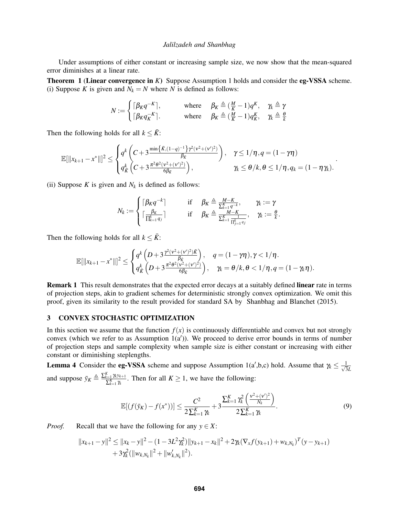Under assumptions of either constant or increasing sample size, we now show that the mean-squared error diminishes at a linear rate.

Theorem 1 (Linear convergence in *K*) Suppose Assumption 1 holds and consider the eg-VSSA scheme. (i) Suppose *K* is given and  $N_k = N$  where *N* is defined as follows:

$$
N := \begin{cases} \lceil \beta_K q^{-K} \rceil, & \text{where} & \beta_K \triangleq (\frac{M}{K} - 1) q^{K}, & \gamma_k \triangleq \gamma \\ \lceil \beta_K q_K^{-K} \rceil. & \text{where} & \beta_K \triangleq (\frac{M}{K} - 1) q_K^{K}, & \gamma_k \triangleq \frac{\theta}{k} \end{cases}
$$

Then the following holds for all  $k \leq \bar{K}$ :

$$
\mathbb{E}[\|x_{k+1}-x^*\|]^2 \leq \begin{cases} q^k \left(C+3\frac{\min\{\bar{K},(1-q)^{-1}\} \gamma^2(\nu^2+(\nu')^2)}{\beta_{\bar{K}}}\right), & \gamma \leq 1/\eta, q=(1-\gamma\eta) \\ q^k_{\bar{K}}\left(C+3\frac{\pi^2 \theta^2(\nu^2+(\nu')^2)}{6\beta_{\bar{K}}}\right), & \gamma \leq \theta/k, \theta \leq 1/\eta, q_k=(1-\eta\gamma_k). \end{cases}.
$$

(ii) Suppose  $K$  is given and  $N_k$  is defined as follows:

$$
N_k := \begin{cases} \lceil \beta_K q^{-k} \rceil & \text{if} \quad \beta_K \triangleq \frac{M-K}{\sum_{k=1}^K q^{-k}}, & \gamma_k := \gamma \\ \lceil \frac{\beta_K}{\prod_{k=1}^k q_j} \rceil & \text{if} \quad \beta_K \triangleq \frac{M-K}{\sum_{k=1}^K \frac{1}{\prod_{j=1}^k q_j}}, & \gamma_k := \frac{\theta}{k}. \end{cases}
$$

Then the following holds for all  $k \leq \bar{K}$ :

$$
\mathbb{E}[\|x_{k+1}-x^*\|]^2 \leq \begin{cases} q^k\left(D+3\frac{\gamma^2(\nu^2+(\nu')^2)\bar{K}}{\beta_{\bar{K}}}\right), & q=(1-\gamma\eta), \gamma<1/\eta \\ q^k_{\bar{K}}\left(D+3\frac{\pi^2\theta^2(\nu^2+(\nu')^2)}{6\beta_{\bar{K}}}\right), & \gamma_k=\theta/k, \theta<1/\eta, q=(1-\gamma_k\eta). \end{cases}
$$

**Remark 1** This result demonstrates that the expected error decays at a suitably defined **linear** rate in terms of projection steps, akin to gradient schemes for deterministic strongly convex optimization. We omit this proof, given its similarity to the result provided for standard SA by Shanbhag and Blanchet (2015).

### 3 CONVEX STOCHASTIC OPTIMIZATION

In this section we assume that the function  $f(x)$  is continuously differentiable and convex but not strongly convex (which we refer to as Assumption  $1(a')$ ). We proceed to derive error bounds in terms of number of projection steps and sample complexity when sample size is either constant or increasing with either constant or diminishing steplengths.

**Lemma 4** Consider the **eg-VSSA** scheme and suppose Assumption 1(a',b,c) hold. Assume that  $\gamma_k \leq \frac{1}{\sqrt{3}}$ 3*L* and suppose  $\bar{y}_K \triangleq \frac{\sum_{k=1}^K \gamma_k y_{k+1}}{\sum_{k=1}^K \gamma_k}$  $\sum_{k=1}^{\infty} \frac{\gamma_k y_{k+1}}{\gamma_k}$ . Then for all  $K \geq 1$ , we have the following:

$$
\mathbb{E}[(f(\bar{y}_K) - f(x^*))] \le \frac{C^2}{2\sum_{k=1}^K \gamma_k} + 3\frac{\sum_{k=1}^K \gamma_k^2 \left(\frac{v^2 + (v')^2}{N_k}\right)}{2\sum_{k=1}^K \gamma_k}.
$$
\n(9)

*Proof.* Recall that we have the following for any  $y \in X$ :

$$
||x_{k+1}-y||^2 \le ||x_k-y||^2 - (1-3L^2\gamma_k^2)||y_{k+1}-x_k||^2 + 2\gamma_k(\nabla_x f(y_{k+1}) + w_{k,N_k})^T(y-y_{k+1})
$$
  
+3 $\gamma_k^2(||w_{k,N_k}||^2 + ||w'_{k,N_k}||^2).$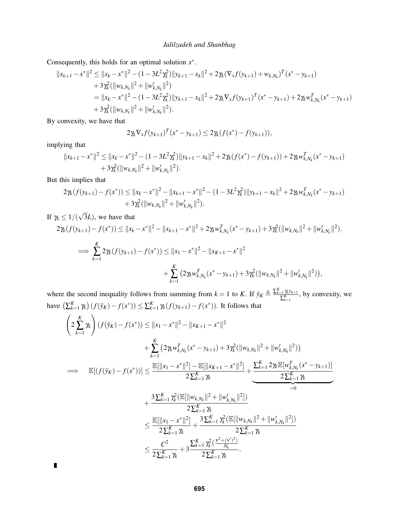Consequently, this holds for an optimal solution  $x^*$ .

$$
||x_{k+1} - x^*||^2 \le ||x_k - x^*||^2 - (1 - 3L^2 \gamma_k^2) ||y_{k+1} - x_k||^2 + 2\gamma_k (\nabla_x f(y_{k+1}) + w_{k,N_k})^T (x^* - y_{k+1})
$$
  
+ 3 $\gamma_k^2 (||w_{k,N_k}||^2 + ||w'_{k,N_k}||^2)$   
=  $||x_k - x^*||^2 - (1 - 3L^2 \gamma_k^2) ||y_{k+1} - x_k||^2 + 2\gamma_k \nabla_x f(y_{k+1})^T (x^* - y_{k+1}) + 2\gamma_k w_{k,N_k}^T (x^* - y_{k+1})$   
+ 3 $\gamma_k^2 (||w_{k,N_k}||^2 + ||w'_{k,N_k}||^2).$ 

By convexity, we have that

$$
2\gamma_k \nabla_x f(y_{k+1})^T (x^* - y_{k+1}) \leq 2\gamma_k (f(x^*) - f(y_{k+1})),
$$

implying that

 $\blacksquare$ 

$$
||x_{k+1}-x^*||^2 \le ||x_k-x^*||^2 - (1-3L^2\gamma_k^2)||y_{k+1}-x_k||^2 + 2\gamma_k(f(x^*) - f(y_{k+1})) + 2\gamma_k w_{k,N_k}^T(x^* - y_{k+1}) + 3\gamma_k^2(||w_{k,N_k}||^2 + ||w_{k,N_k}'||^2).
$$

But this implies that

$$
2\chi(f(y_{k+1}) - f(x^*)) \le ||x_k - x^*||^2 - ||x_{k+1} - x^*||^2 - (1 - 3L^2\gamma_k^2)||y_{k+1} - x_k||^2 + 2\gamma_k w_{k,N_k}^T(x^* - y_{k+1}) + 3\gamma_k^2(||w_{k,N_k}||^2 + ||w_{k,N_k}'||^2).
$$

If γ*<sup>k</sup>* ≤ 1/( 3*L*), we have that

$$
2\gamma_{k}(f(y_{k+1}) - f(x^{*})) \leq ||x_{k} - x^{*}||^{2} - ||x_{k+1} - x^{*}||^{2} + 2\gamma_{k}w_{k,N_{k}}^{T}(x^{*} - y_{k+1}) + 3\gamma_{k}^{2}(||w_{k,N_{k}}||^{2} + ||w_{k,N_{k}}'||^{2}).
$$
  

$$
\implies \sum_{k=1}^{K} 2\gamma_{k}(f(y_{k+1}) - f(x^{*})) \leq ||x_{1} - x^{*}||^{2} - ||x_{K+1} - x^{*}||^{2}
$$

$$
+ \sum_{k=1}^{K} (2\gamma_{k}w_{k,N_{k}}^{T}(x^{*} - y_{k+1}) + 3\gamma_{k}^{2}(||w_{k,N_{k}}||^{2} + ||w_{k,N_{k}}'||^{2})),
$$

where the second inequality follows from summing from  $k = 1$  to *K*. If  $\bar{y}_K \triangleq \frac{\sum_{k=1}^K \gamma_{k}y_{k+1}}{\sum_{k=1}^K \gamma_{k}}$  $\frac{\sum_{k=1}^{K} \gamma_k y_{k+1}}{\sum_{k=1}^{K}}$ , by convexity, we have  $(\sum_{k=1}^{K} \gamma_k) (f(\bar{y}_K) - f(x^*)) \leq \sum_{k=1}^{K} \gamma_k (f(y_{k+1}) - f(x^*))$ . It follows that

$$
\left(2\sum_{k=1}^{K} \gamma_{k}\right)(f(\bar{y}_{K}) - f(x^{*})) \leq ||x_{1} - x^{*}||^{2} - ||x_{K+1} - x^{*}||^{2} \n+ \sum_{k=1}^{K} \left(2\gamma_{k}w_{k,N_{k}}^{T}(x^{*} - y_{k+1}) + 3\gamma_{k}^{2}(||w_{k,N_{k}}||^{2} + ||w_{k,N_{k}}'||^{2})\right) \n\implies \mathbb{E}[(f(\bar{y}_{K}) - f(x^{*}))] \leq \frac{\mathbb{E}[\Vert x_{1} - x^{*} \Vert^{2}] - \mathbb{E}[\Vert x_{K+1} - x^{*} \Vert^{2}]}{2\sum_{k=1}^{K} \gamma_{k}} + \frac{\sum_{k=1}^{K} 2\gamma_{k} \mathbb{E}[w_{k,N_{k}}^{T}(x^{*} - y_{k+1})]}{2\sum_{k=1}^{K} \gamma_{k}} \n+ \frac{3\sum_{k=1}^{K} \gamma_{k}^{2} (\mathbb{E}[\Vert w_{k,N_{k}} \Vert^{2} + \Vert w_{k,N_{k}}' \Vert^{2}])}{2\sum_{k=1}^{K} \gamma_{k}} \n\leq \frac{\mathbb{E}[\Vert x_{1} - x^{*} \Vert^{2}]}{2\sum_{k=1}^{K} \gamma_{k}} + \frac{3\sum_{k=1}^{K} \gamma_{k}^{2} (\mathbb{E}[\Vert w_{k,N_{k}} \Vert^{2} + \Vert w_{k,N_{k}}' \Vert^{2}])}{2\sum_{k=1}^{K} \gamma_{k}} \n\leq \frac{C^{2}}{2\sum_{k=1}^{K} \gamma_{k}} + 3\frac{\sum_{k=1}^{K} \gamma_{k}^{2} (\frac{y^{2} + (y')^{2}}{N_{k}})}{2\sum_{k=1}^{K} \gamma_{k}}.
$$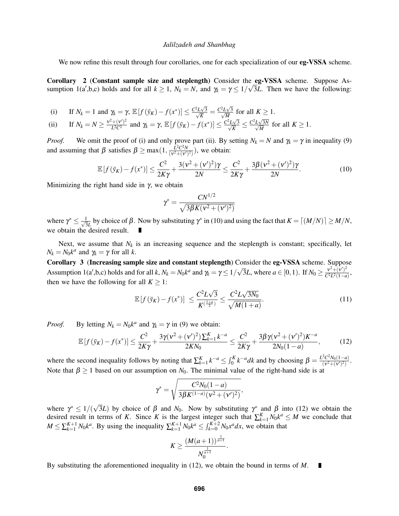We now refine this result through four corollaries, one for each specialization of our **eg-VSSA** scheme.

Corollary 2 (Constant sample size and steplength) Consider the eg-VSSA scheme. Suppose Assumption 1(a',b,c) holds and for all  $k \ge 1$ ,  $N_k = N$ , and  $\gamma_k = \gamma \le 1/\sqrt{3}L$ . Then we have the following:

(i) If  $N_k = 1$  and  $\gamma_k = \gamma$ ,  $\mathbb{E}[f(\bar{y}_k) - f(x^*)] \leq \frac{C^2 L \sqrt{k}}{\sqrt{k}}$  $\frac{2L\sqrt{3}}{2}$  $\frac{\sqrt{3}}{\overline{K}} = \frac{C^2 L \sqrt{M}}{\sqrt{M}}$  $\frac{2L\sqrt{3}}{2}$  $\frac{\sqrt{3}}{M}$  for all  $K \geq 1$ .

(ii) If 
$$
N_k = N \ge \frac{v^2 + (v')^2}{L^2 C^2}
$$
 and  $\gamma_k = \gamma$ ,  $\mathbb{E}[f(\bar{y}_K) - f(x^*)] \le \frac{C^2 L \sqrt{3}}{\sqrt{K}} \le \frac{C^2 L \sqrt{3N}}{\sqrt{M}}$  for all  $K \ge 1$ .

*Proof.* We omit the proof of (i) and only prove part (ii). By setting  $N_k = N$  and  $\gamma_k = \gamma$  in inequality (9) and assuming that  $\beta$  satisfies  $\beta \ge \max(1, \frac{L^2 C^2 N}{(v^2 + (v^2))^2})$  $\frac{L^2 C^2 N}{(\nu^2 + (\nu')^2)}$ ), we obtain:

$$
\mathbb{E}\left[f(\bar{y}_K) - f(x^*)\right] \le \frac{C^2}{2K\gamma} + \frac{3(\nu^2 + (\nu')^2)\gamma}{2N} \le \frac{C^2}{2K\gamma} + \frac{3\beta(\nu^2 + (\nu')^2)\gamma}{2N}.
$$
\n(10)

Minimizing the right hand side in  $\gamma$ , we obtain

$$
\gamma^* = \frac{CN^{1/2}}{\sqrt{3\beta K (v^2 + (v')^2)}}
$$

where  $\gamma^* \leq \frac{1}{\sqrt{3}}$  $\frac{1}{3L}$  by choice of β. Now by substituting  $\gamma^*$  in (10) and using the fact that  $K = \lfloor (M/N) \rfloor \ge M/N$ , we obtain the desired result.

Next, we assume that  $N_k$  is an increasing sequence and the steplength is constant; specifically, let  $N_k = N_0 k^a$  and  $\gamma_k = \gamma$  for all *k*.

Corollary 3 (Increasing sample size and constant steplength) Consider the eg-VSSA scheme. Suppose Assumption 1(a',b,c) holds and for all *k*,  $N_k = N_0 k^a$  and  $\gamma_k = \gamma \leq 1/2$ √  $\overline{3}L$ , where  $a \in [0,1)$ . If  $N_0 \geq \frac{v^2 + (v')^2}{C^2L^2(1-a)}$  $\frac{V + (V)}{C^2 L^2 (1-a)}$ then we have the following for all  $K \geq 1$ :

$$
\mathbb{E}\left[f(\bar{\mathbf{y}}_K) - f(x^*)\right] \le \frac{C^2 L \sqrt{3}}{K^{\left(\frac{1+a}{2}\right)}} \le \frac{C^2 L \sqrt{3N_0}}{\sqrt{M(1+a)}}.
$$
\n(11)

*Proof.* By letting  $N_k = N_0 k^a$  and  $\gamma_k = \gamma$  in (9) we obtain:

$$
\mathbb{E}\left[f(\bar{y}_K) - f(x^*)\right] \le \frac{C^2}{2K\gamma} + \frac{3\gamma(\nu^2 + (\nu')^2)\sum_{k=1}^K k^{-a}}{2KN_0} \le \frac{C^2}{2K\gamma} + \frac{3\beta\gamma(\nu^2 + (\nu')^2)K^{-a}}{2N_0(1-a)},\tag{12}
$$

where the second inequality follows by noting that  $\sum_{k=1}^{K} k^{-a} \leq \int_0^K k^{-a} dk$  and by choosing  $\beta = \frac{L^2 C^2 N_0(1-a)}{(\gamma^2 + (\gamma')^2)}$  $\frac{C_{N0}(1-a)}{(v^2+(v')^2)}$ . Note that  $\beta \ge 1$  based on our assumption on  $N_0$ . The minimal value of the right-hand side is at

$$
\gamma^* = \sqrt{\frac{C^2 N_0 (1-a)}{3 \beta K^{(1-a)} (\nu^2 + (\nu')^2)}},
$$

where  $\gamma^* \leq 1/(\sqrt{2})$  $\overline{3}L$ ) by choice of  $\beta$  and  $N_0$ . Now by substituting  $\gamma^*$  and  $\beta$  into (12) we obtain the desired result in terms of *K*. Since *K* is the largest integer such that  $\sum_{k=1}^{K} N_0 k^a \leq M$  we conclude that  $M \le \sum_{k=1}^{K+1} N_0 k^a$ . By using the inequality  $\sum_{k=1}^{K+1} N_0 k^a \le \int_{k=0}^{K+2} N_0 x^a dx$ , we obtain that

$$
K \geq \frac{(M(a+1))^{\frac{1}{a+1}}}{N_0^{\frac{1}{a+1}}}.
$$

By substituting the aforementioned inequality in (12), we obtain the bound in terms of *M*.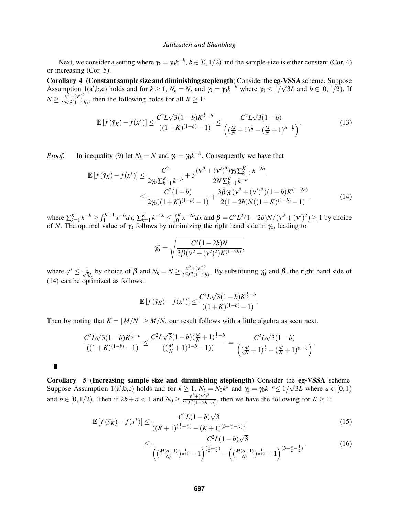Next, we consider a setting where  $\gamma_k = \gamma_0 k^{-b}$ ,  $b \in [0, 1/2)$  and the sample-size is either constant (Cor. 4) or increasing (Cor. 5).

Corollary 4 (Constant sample size and diminishing steplength) Consider the eg-VSSA scheme. Suppose Assumption 1(a',b,c) holds and for  $k \ge 1$ ,  $N_k = N$ , and  $\gamma_k = \gamma_0 k^{-b}$  where  $\gamma_0 \le 1/\sqrt{3}L$  and  $b \in [0, 1/2)$ . If  $N \geq \frac{v^2 + (v')^2}{C^2 L^2 (1 - 2)}$  $\frac{V^2 + (V)^2}{C^2 L^2 (1-2b)}$ , then the following holds for all *K* ≥ 1:

$$
\mathbb{E}\left[f(\bar{y}_K) - f(x^*)\right] \le \frac{C^2 L \sqrt{3} (1 - b) K^{\frac{1}{2} - b}}{\left((1 + K)^{(1 - b)} - 1\right)} \le \frac{C^2 L \sqrt{3} (1 - b)}{\left((\frac{M}{N} + 1)^{\frac{1}{2}} - (\frac{M}{N} + 1)^{b - \frac{1}{2}}\right)}.
$$
\n(13)

*Proof.* In inequality (9) let  $N_k = N$  and  $\gamma_k = \gamma_0 k^{-b}$ . Consequently we have that

$$
\mathbb{E}\left[f\left(\bar{y}_K\right) - f\left(x^*\right)\right] \le \frac{C^2}{2\gamma_0 \sum_{k=1}^K k^{-b}} + 3\frac{(\nu^2 + (\nu')^2)\gamma_0 \sum_{k=1}^K k^{-2b}}{2N\sum_{k=1}^K k^{-b}} \\
\le \frac{C^2(1-b)}{2\gamma_0((1+K)^{(1-b)}-1)} + \frac{3\beta\gamma_0(\nu^2 + (\nu')^2)(1-b)K^{(1-2b)}}{2(1-2b)N((1+K)^{(1-b)}-1)},\n\tag{14}
$$

where  $\sum_{k=1}^{K} k^{-b} \ge \int_{1}^{K+1} x^{-b} dx$ ,  $\sum_{k=1}^{K} k^{-2b} \le \int_{0}^{K} x^{-2b} dx$  and  $\beta = C^2 L^2 (1 - 2b) N / (v^2 + (v')^2) \ge 1$  by choice of *N*. The optimal value of  $\gamma_0$  follows by minimizing the right hand side in  $\gamma_0$ , leading to

$$
\gamma_0^* = \sqrt{\frac{C^2(1-2b)N}{3\beta(\nu^2 + (\nu')^2)K^{(1-2b)}}},
$$

where  $\gamma^* \leq \frac{1}{\sqrt{3}}$  $\frac{1}{3L}$  by choice of  $\beta$  and  $N_k = N \ge \frac{v^2 + (v')^2}{C^2 L^2 (1 - 2l)}$  $\frac{v^2 + (v')^2}{C^2 L^2 (1-2b)}$ . By substituting  $\gamma_0^*$  and  $\beta$ , the right hand side of (14) can be optimized as follows:

$$
\mathbb{E}[f(\bar{y}_K) - f(x^*)] \le \frac{C^2 L \sqrt{3} (1-b) K^{\frac{1}{2}-b}}{((1+K)^{(1-b)}-1)}.
$$

Then by noting that  $K = [M/N] \ge M/N$ , our result follows with a little algebra as seen next.

$$
\frac{C^2L\sqrt{3}(1-b)K^{\frac{1}{2}-b}}{((1+K)^{(1-b)}-1)}\leq \frac{C^2L\sqrt{3}(1-b)(\frac{M}{N}+1)^{\frac{1}{2}-b}}{((\frac{M}{N}+1)^{1-b}-1))}=\frac{C^2L\sqrt{3}(1-b)}{\left((\frac{M}{N}+1)^{\frac{1}{2}}-(\frac{M}{N}+1)^{b-\frac{1}{2}}\right)}.
$$

 $\blacksquare$ 

Corollary 5 (Increasing sample size and diminishing steplength) Consider the eg-VSSA scheme. **Corollary** 5 (Increasing sample size and diminishing steplength) Consider the Suppose Assumption 1(a',b,c) holds and for  $k \ge 1$ ,  $N_k = N_0 k^a$  and  $\gamma_k = \gamma_0 k^{-b} \le 1/\sqrt{k}$ 3*L* where  $a \in [0,1)$ and  $b \in [0, 1/2)$ . Then if  $2b + a < 1$  and  $N_0 \ge \frac{v^2 + (v')^2}{C^2 L^2 (1 - 2b)}$  $\frac{V^2 + (V^2)}{C^2 L^2 (1 - 2b - a)}$ , then we have the following for *K* ≥ 1:

$$
\mathbb{E}\left[f\left(\bar{y}_K\right) - f\left(x^*\right)\right] \le \frac{C^2 L (1 - b)\sqrt{3}}{\left((K+1)^{\left(\frac{1}{2} + \frac{a}{2}\right)} - (K+1)^{\left(b + \frac{a}{2} - \frac{1}{2}\right)}\right)}
$$
(15)

$$
\leq \frac{C^2 L (1-b)\sqrt{3}}{\left(\left(\frac{M(a+1)}{N_0}\right)^{\frac{1}{a+1}}-1\right)^{\left(\frac{1}{2}+\frac{a}{2}\right)} - \left(\left(\frac{M(a+1)}{N_0}\right)^{\frac{1}{a+1}}+1\right)^{\left(b+\frac{a}{2}-\frac{1}{2}\right)}}.
$$
(16)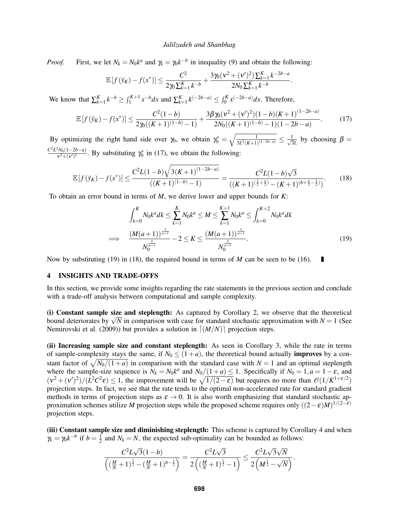*Proof.* First, we let  $N_k = N_0 k^a$  and  $\gamma_k = \gamma_0 k^{-b}$  in inequality (9) and obtain the following:

$$
\mathbb{E}\left[f\left(\bar{y}_K\right) - f(x^*)\right] \le \frac{C^2}{2\gamma_0 \sum_{k=1}^K k^{-b}} + \frac{3\gamma_0(\nu^2 + (\nu')^2) \sum_{k=1}^K k^{-2b-a}}{2N_0 \sum_{k=1}^K k^{-b}}
$$

We know that  $\sum_{k=1}^{K} k^{-b} \ge \int_{1}^{K+1} x^{-b} dx$  and  $\sum_{k=1}^{K} k^{(-2b-a)} \le \int_{0}^{K} x^{(-2b-a)} dx$ . Therefore,

$$
\mathbb{E}\left[f(\bar{y}_K) - f(x^*)\right] \le \frac{C^2(1-b)}{2\gamma_0((K+1)^{(1-b)}-1)} + \frac{3\beta\gamma_0(\nu^2 + (\nu')^2)(1-b)(K+1)^{(1-2b-a)}}{2N_0((K+1)^{(1-b)}-1)(1-2b-a)}.\tag{17}
$$

.

П

By optimizing the right hand side over  $\gamma_0$ , we obtain  $\gamma_0^* = \sqrt{\frac{1}{3L^2(K+1)(1-2b-a)}} \le \frac{1}{\sqrt{3}}$  $\frac{1}{3L}$  by choosing  $\beta =$ *C* 2*L* <sup>2</sup>*N*0(1−2*b*−*a*)  $\frac{N_0(1-2b-a)}{v^2+(v')^2}$ . By substituting  $\gamma_0^*$  in (17), we obtain the following:

$$
\mathbb{E}\left[f(\bar{y}_K) - f(x^*)\right] \le \frac{C^2 L(1-b)\sqrt{3(K+1)^{(1-2b-a)}}}{((K+1)^{(1-b)}-1)} = \frac{C^2 L(1-b)\sqrt{3}}{((K+1)^{(\frac{1}{2}+\frac{a}{2})} - (K+1)^{(b+\frac{a}{2}-\frac{1}{2})})}.
$$
(18)

To obtain an error bound in terms of *M*, we derive lower and upper bounds for *K*:

$$
\int_{k=0}^{K} N_0 k^a dk \le \sum_{k=1}^{K} N_0 k^a \le M \le \sum_{k=1}^{K+1} N_0 k^a \le \int_{k=0}^{K+2} N_0 k^a dk
$$
\n
$$
\implies \frac{(M(a+1))^\frac{1}{a+1}}{N_0^\frac{1}{a+1}} - 2 \le K \le \frac{(M(a+1))^\frac{1}{a+1}}{N_0^\frac{1}{a+1}}.\tag{19}
$$

Now by substituting (19) in (18), the required bound in terms of *M* can be seen to be (16).

# 4 INSIGHTS AND TRADE-OFFS

=⇒

In this section, we provide some insights regarding the rate statements in the previous section and conclude with a trade-off analysis between computational and sample complexity.

(i) Constant sample size and steplength: As captured by Corollary 2, we observe that the theoretical (1) **Constant sample size and steplength:** As captured by Corollary 2, we observe that the theoretical bound deteriorates by  $\sqrt{N}$  in comparison with case for standard stochastic approximation with  $N = 1$  (See Nemirovski et al. (2009)) but provides a solution in  $\lfloor (M/N) \rfloor$  projection steps.

(ii) Increasing sample size and constant steplength: As seen in Corollary 3, while the rate in terms of sample-complexity stays the same, if  $N_0 \le (1+a)$ , the theoretical bound actually **improves** by a constant factor of  $\sqrt{N_0/(1+a)}$  in comparison with the standard case with  $N = 1$  and an optimal steplength where the sample-size sequence is  $N_k = N_0 k^a$  and  $N_0/(1+a) \le 1$ . Specifically if  $N_0 = 1, a = 1-\varepsilon$ , and  $(v^2 + (v')^2)/(L^2C^2\varepsilon) \le 1$ , the improvement will be  $\sqrt{1/(2-\varepsilon)}$  but requires no more than  $\mathcal{O}(1/K^{1+\varepsilon/2})$ projection steps. In fact, we see that the rate tends to the optimal non-accelerated rate for standard gradient methods in terms of projection steps as  $\varepsilon \to 0$ . It is also worth emphasizing that standard stochastic approximation schemes utilize *M* projection steps while the proposed scheme requires only  $((2 - \varepsilon)M)^{1/(2-\varepsilon)}$ projection steps.

(iii) Constant sample size and diminishing steplength: This scheme is captured by Corollary 4 and when  $\gamma_k = \gamma_0 k^{-b}$  if  $b = \frac{1}{2}$  $\frac{1}{2}$  and  $N_k = N$ , the expected sub-optimality can be bounded as follows:

$$
\frac{C^2L\sqrt{3}(1-b)}{\left((\frac{M}{N}+1)^{\frac{1}{2}}-(\frac{M}{N}+1)^{b-\frac{1}{2}}\right)}=\frac{C^2L\sqrt{3}}{2\left((\frac{M}{N}+1)^{\frac{1}{2}}-1\right)}\leq \frac{C^2L\sqrt{3}\sqrt{N}}{2\left(M^{\frac{1}{2}}-\sqrt{N}\right)}.
$$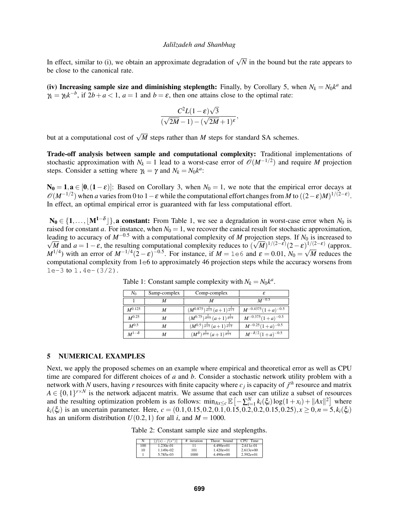In effect, similar to (i), we obtain an approximate degradation of  $\sqrt{N}$  in the bound but the rate appears to be close to the canonical rate.

(iv) Increasing sample size and diminishing steplength: Finally, by Corollary 5, when  $N_k = N_0 k^a$  and  $\gamma_k = \gamma_0 k^{-b}$ , if  $2b + a < 1$ ,  $a = 1$  and  $b = \varepsilon$ , then one attains close to the optimal rate:

$$
\frac{C^2L(1-\varepsilon)\sqrt{3}}{(\sqrt{2M}-1)-(\sqrt{2M}+1)^{\varepsilon}},
$$

but at a computational cost of  $\sqrt{M}$  steps rather than *M* steps for standard SA schemes.

Trade-off analysis between sample and computational complexity: Traditional implementations of stochastic approximation with  $N_k = 1$  lead to a worst-case error of  $\mathcal{O}(M^{-1/2})$  and require M projection steps. Consider a setting where  $\gamma_k = \gamma$  and  $N_k = N_0 k^a$ :

 $N_0 = 1$ ,  $a \in [0, (1-\varepsilon)]$ : Based on Corollary 3, when  $N_0 = 1$ , we note that the empirical error decays at  $\mathscr{O}(M^{-1/2})$  when *a* varies from 0 to 1 –  $\varepsilon$  while the computational effort changes from *M* to  $((2-\varepsilon)M)^{1/(2-\varepsilon)}$ . In effect, an optimal empirical error is guaranteed with far less computational effort.

 $N_0$  ∈ {1,..., [M<sup>1-δ</sup>]}, a constant: From Table 1, we see a degradation in worst-case error when  $N_0$  is raised for constant *a*. For instance, when  $N_0 = 1$ , we recover the canical result for stochastic approximation, leading to accuracy of  $M^{-0.5}$  with a computational complexity of *M* projection steps. If  $N_0$  is increased to  $\overline{M}$  and  $a = 1 - \varepsilon$ , the resulting computational complexity reduces to  $(\sqrt{M})^{1/(2-\varepsilon)} (2-\varepsilon)^{1/(2-\varepsilon)}$  (approx. *M*<sup>1/4</sup>) with an error of  $M^{-1/4}$  (2 -  $\varepsilon$ )<sup>-0.5</sup>. For instance, if  $M = 1e6$  and  $\varepsilon = 0.01$ ,  $N_0 = \sqrt{M}$  reduces the computational complexity from 1e6 to approximately 46 projection steps while the accuracy worsens from  $1e-3$  to  $1.4e-(3/2)$ .

| $N_0$          | Samp-complex | Comp-complex                                        | £                           |  |  |
|----------------|--------------|-----------------------------------------------------|-----------------------------|--|--|
|                |              |                                                     | $M^{-0.5}$                  |  |  |
| $M^{0.125}$    | M            | $(M^{0.875})^{\frac{1}{a+1}}(a+1)^{\frac{1}{a+1}}$  | $M^{-0.4375}(1+a)^{-0.5}$   |  |  |
| $M^{0.25}$     | М            | $(M^{0.75})^{\frac{1}{a+1}}(a+1)^{\frac{1}{a+1}}$   | $M^{-0.375}(1+a)^{-0.5}$    |  |  |
| $M^{0.5}$      | М            | $(M^{0.5})^{\frac{1}{a+1}}(a+1)^{\frac{1}{a+1}}$    | $M^{-0.25}(1+a)^{-0.5}$     |  |  |
| $M^{1-\delta}$ | М            | $(M^{\delta})^{\frac{1}{a+1}}(a+1)^{\frac{1}{a+1}}$ | $M^{-\delta/2}(1+a)^{-0.5}$ |  |  |

Table 1: Constant sample complexity with  $N_k = N_0 k^a$ .

## 5 NUMERICAL EXAMPLES

Next, we apply the proposed schemes on an example where empirical and theoretical error as well as CPU time are compared for different choices of *a* and *b*. Consider a stochastic network utility problem with a network with *N* users, having *r* resources with finite capacity where *c<sup>j</sup>* is capacity of *j th* resource and matrix  $A \in \{0,1\}^{r \times N}$  is the network adjacent matrix. We assume that each user can utilize a subset of resources and the resulting optimization problem is as follows:  $\min_{Ax \leq c} \mathbb{E} \left[ -\sum_{i=1}^{N} k_i(\xi_i) \log(1+x_i) + ||Ax||^2 \right]$  where  $k_i(\xi_i)$  is an uncertain parameter. Here,  $c = (0.1, 0.15, 0.2, 0.1, 0.15, 0.2, 0.2, 0.2, 0.15, 0.25), x \ge 0, n = 5, k_i(\xi_i)$ has an uniform distribution  $U(0.2, 1)$  for all *i*, and  $M = 1000$ .

Table 2: Constant sample size and steplengths.

| N   | $   f(x) - f(x^*)  $ | iteration<br># | Theor.<br>bound | <b>CPH</b><br>Time |
|-----|----------------------|----------------|-----------------|--------------------|
| 100 | $1.230e-01$          |                | $4.490e+01$     | 2.611e-01          |
| 10  | $1.149e-02$          | 101            | $1.420e+01$     | $2.613e+00$        |
|     | 5.785e-03            | 1000           | $4.490e+00$     | $2.592e+01$        |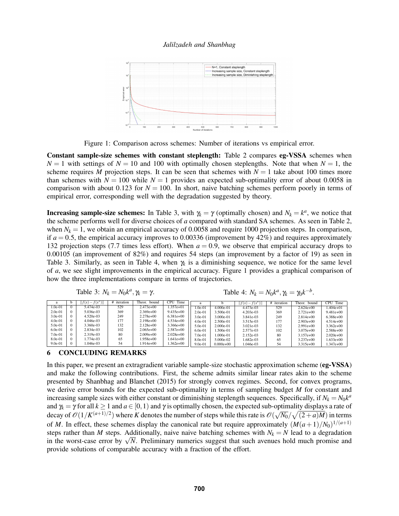

Figure 1: Comparison across schemes: Number of iterations vs empirical error.

Constant sample-size schemes with constant steplength: Table 2 compares eg-VSSA schemes when  $N = 1$  with settings of  $N = 10$  and 100 with optimally chosen steplengths. Note that when  $N = 1$ , the scheme requires *M* projection steps. It can be seen that schemes with  $N = 1$  take about 100 times more than schemes with  $N = 100$  while  $N = 1$  provides an expected sub-optimality error of about 0.0058 in comparison with about 0.123 for  $N = 100$ . In short, naive batching schemes perform poorly in terms of empirical error, corresponding well with the degradation suggested by theory.

**Increasing sample-size schemes:** In Table 3, with  $\gamma_k = \gamma$  (optimally chosen) and  $N_k = k^a$ , we notice that the scheme performs well for diverse choices of *a* compared with standard SA schemes. As seen in Table 2, when  $N_k = 1$ , we obtain an empirical accuracy of 0.0058 and require 1000 projection steps. In comparison, if  $a = 0.5$ , the empirical accuracy improves to 0.00336 (improvement by  $42\%$ ) and requires approximately 132 projection steps (7.7 times less effort). When *a* = 0.9, we observe that empirical accuracy drops to 0.00105 (an improvement of 82%) and requires 54 steps (an improvement by a factor of 19) as seen in Table 3. Similarly, as seen in Table 4, when  $\gamma_k$  is a diminishing sequence, we notice for the same level of *a*, we see slight improvements in the empirical accuracy. Figure 1 provides a graphical comparison of how the three implementations compare in terms of trajectories.

Table 3: 
$$
N_k = N_0 k^a
$$
,  $\gamma_k = \gamma$ .

Table 4:  $N_k = N_0 k^a, \gamma_k = \gamma_0 k^{-b}$ .

| a         |            | $ f(x) - f(x^*) $ | iteration | Theor.<br>bound | Time<br><b>CPU</b> |           |               | $   f(x) - f(x^*)  $ | iteration | Theor.<br>bound | CPU<br>Time |
|-----------|------------|-------------------|-----------|-----------------|--------------------|-----------|---------------|----------------------|-----------|-----------------|-------------|
| 1.0e-01   | $\sqrt{ }$ | 5.474e-03         | 529       | $2.473e+00$     | $.357e + 01$       | $.0e-01$  | $4,000e-01$   | 4.473e-03            | 529       | $2.624e+00$     | l.404e+01   |
| $2.0e-01$ | $\Omega$   | 5.036e-03         | 369       | $2.369e+00$     | $9.435e+00$        | $2.0e-01$ | 3.500e-01     | $4.203e-03$          | 369       | $2.721e+00$     | $9.481e+00$ |
| $3.0e-01$ | $\Omega$   | $4.520e-03$       | 249       | $2.278e+00$     | 6.381e+00          | 3.0e-01   | 3.000e-01     | 3.841e-03            | 249       | $2.814e+00$     | $6.388e+00$ |
| $4.0e-01$ | $\Omega$   | $4.046e-03$       | 177       | $2.198e+00$     | $4.534e+00$        | $4.0e-01$ | 2.500e-01     | 3.515e-03            | 177       | $2.903e+00$     | $4.514e+00$ |
| $5.0e-01$ | $\Omega$   | 3.360e-03         | 132       | $2.128e+00$     | 366e+00            | 5.0e-01   | $2.000e-01$   | 3.021e-03            | 132       | $2.991e+00$     | $3.362e+00$ |
| $6.0e-01$ | $\Omega$   | 2.834e-03         | 102       | $2.065e+00$     | $2.587e+00$        | $6.0e-01$ | .500e-01      | 2.577e-03            | 102       | $3.075e+00$     | 2.588e+00   |
| $7.0e-01$ | $\Omega$   | 2.319e-03         | 80        | $2.009e+00$     | 2.028e+00          | $7.0e-01$ | 1.000e-01     | 2.152e-03            | 80        | $3.157e+00$     | $2.020e+00$ |
| 8.0e-01   | $\Omega$   | 1.774e-03         | 65        | $0.958e+00$     | $.641e+00$         | 8.0e-01   | 5.000e-02     | 1.682e-03            | 65        | $3.237e+00$     | $.633e+00$  |
| $9.0e-01$ | $\Omega$   | 1.046e-03         | 54        | $0.914e+00$     | $.362e+00$         | $9.0e-01$ | $0.000e + 00$ | 1.046e-03            | 54        | $3.315e+00$     | 1.347e+00   |

# 6 CONCLUDING REMARKS

In this paper, we present an extragradient variable sample-size stochastic approximation scheme (eg-VSSA) and make the following contributions. First, the scheme admits similar linear rates akin to the scheme presented by Shanbhag and Blanchet (2015) for strongly convex regimes. Second, for convex programs, we derive error bounds for the expected sub-optimality in terms of sampling budget *M* for constant and increasing sample sizes with either constant or diminishing steplength sequences. Specifically, if  $N_k = N_0 k^a$ and  $\gamma_k = \gamma$  for all  $k \ge 1$  and  $a \in [0,1)$  and  $\gamma$  is optimally chosen, the expected sub-optimality displays a rate of decay of  $\mathscr{O}(1/K^{(a+1)/2})$  where *K* denotes the number of steps while this rate is  $\mathscr{O}(\mathbb{C})$ √  $\sqrt{N_0}/\sqrt{(2+a)M}$ ) in terms of *M*. In effect, these schemes display the canonical rate but require approximately  $(M(a+1)/N_0)^{1/(a+1)}$ steps rather than *M* steps. Additionally, naive naive batching schemes with  $N_k = N$  lead to a degradation steps rather than *M* steps. Additionally, haive haive batching schemes with  $N_k = N$  lead to a degradation in the worst-case error by  $\sqrt{N}$ . Preliminary numerics suggest that such avenues hold much promise and provide solutions of comparable accuracy with a fraction of the effort.